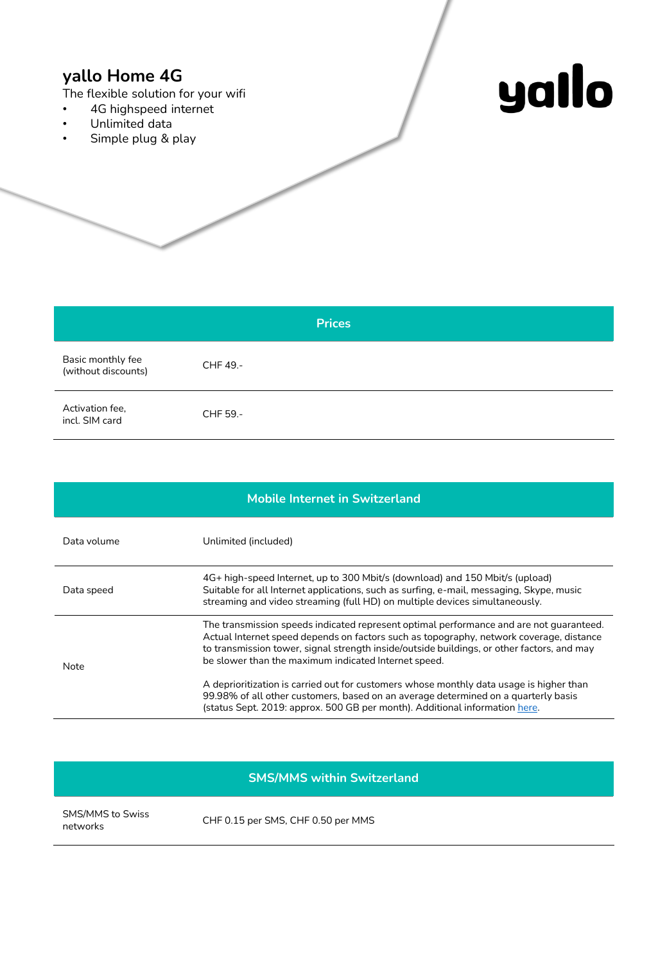## **yallo Home 4G**

The flexible solution for your wifi

- 4G highspeed internet
- Unlimited data
- Simple plug & play



|                                          | <b>Prices</b> |
|------------------------------------------|---------------|
| Basic monthly fee<br>(without discounts) | CHF 49.-      |
| Activation fee,<br>incl. SIM card        | CHF 59.-      |

| <b>Mobile Internet in Switzerland</b> |                                                                                                                                                                                                                                                                                                                                          |  |
|---------------------------------------|------------------------------------------------------------------------------------------------------------------------------------------------------------------------------------------------------------------------------------------------------------------------------------------------------------------------------------------|--|
| Data volume                           | Unlimited (included)                                                                                                                                                                                                                                                                                                                     |  |
| Data speed                            | 4G+ high-speed Internet, up to 300 Mbit/s (download) and 150 Mbit/s (upload)<br>Suitable for all Internet applications, such as surfing, e-mail, messaging, Skype, music<br>streaming and video streaming (full HD) on multiple devices simultaneously.                                                                                  |  |
| Note                                  | The transmission speeds indicated represent optimal performance and are not guaranteed.<br>Actual Internet speed depends on factors such as topography, network coverage, distance<br>to transmission tower, signal strength inside/outside buildings, or other factors, and may<br>be slower than the maximum indicated Internet speed. |  |
|                                       | A deprioritization is carried out for customers whose monthly data usage is higher than<br>99.98% of all other customers, based on an average determined on a quarterly basis<br>(status Sept. 2019: approx. 500 GB per month). Additional information here.                                                                             |  |

|  | <b>SMS/MMS within Switzerland</b> |  |
|--|-----------------------------------|--|

SMS/MMS to Swiss<br>networks

CHF 0.15 per SMS, CHF 0.50 per MMS